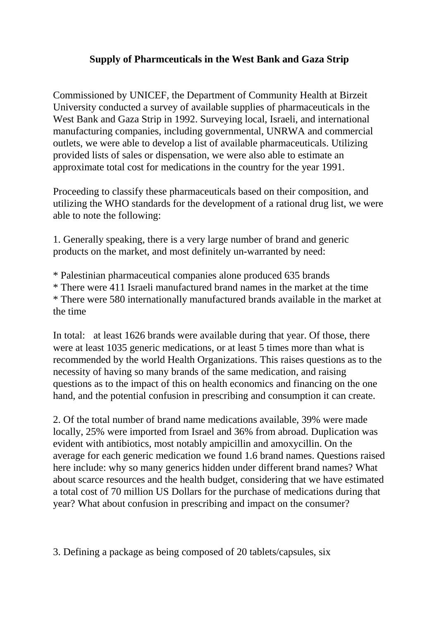## **Supply of Pharmceuticals in the West Bank and Gaza Strip**

Commissioned by UNICEF, the Department of Community Health at Birzeit University conducted a survey of available supplies of pharmaceuticals in the West Bank and Gaza Strip in 1992. Surveying local, Israeli, and international manufacturing companies, including governmental, UNRWA and commercial outlets, we were able to develop a list of available pharmaceuticals. Utilizing provided lists of sales or dispensation, we were also able to estimate an approximate total cost for medications in the country for the year 1991.

Proceeding to classify these pharmaceuticals based on their composition, and utilizing the WHO standards for the development of a rational drug list, we were able to note the following:

1. Generally speaking, there is a very large number of brand and generic products on the market, and most definitely un-warranted by need:

\* Palestinian pharmaceutical companies alone produced 635 brands

\* There were 411 Israeli manufactured brand names in the market at the time \* There were 580 internationally manufactured brands available in the market at the time

In total: at least 1626 brands were available during that year. Of those, there were at least 1035 generic medications, or at least 5 times more than what is recommended by the world Health Organizations. This raises questions as to the necessity of having so many brands of the same medication, and raising questions as to the impact of this on health economics and financing on the one hand, and the potential confusion in prescribing and consumption it can create.

2. Of the total number of brand name medications available, 39% were made locally, 25% were imported from Israel and 36% from abroad. Duplication was evident with antibiotics, most notably ampicillin and amoxycillin. On the average for each generic medication we found 1.6 brand names. Questions raised here include: why so many generics hidden under different brand names? What about scarce resources and the health budget, considering that we have estimated a total cost of 70 million US Dollars for the purchase of medications during that year? What about confusion in prescribing and impact on the consumer?

3. Defining a package as being composed of 20 tablets/capsules, six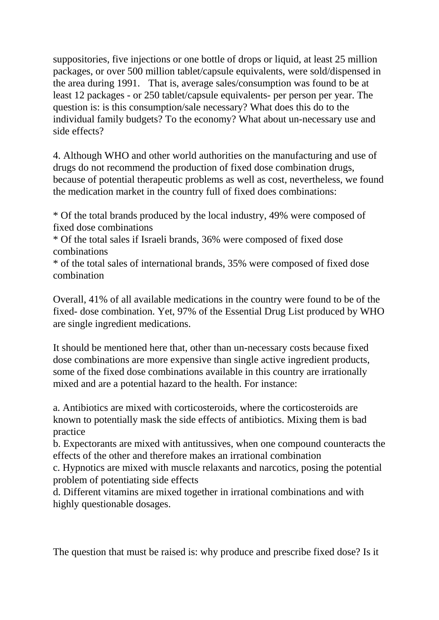suppositories, five injections or one bottle of drops or liquid, at least 25 million packages, or over 500 million tablet/capsule equivalents, were sold/dispensed in the area during 1991. That is, average sales/consumption was found to be at least 12 packages - or 250 tablet/capsule equivalents- per person per year. The question is: is this consumption/sale necessary? What does this do to the individual family budgets? To the economy? What about un-necessary use and side effects?

4. Although WHO and other world authorities on the manufacturing and use of drugs do not recommend the production of fixed dose combination drugs, because of potential therapeutic problems as well as cost, nevertheless, we found the medication market in the country full of fixed does combinations:

\* Of the total brands produced by the local industry, 49% were composed of fixed dose combinations

\* Of the total sales if Israeli brands, 36% were composed of fixed dose combinations

\* of the total sales of international brands, 35% were composed of fixed dose combination

Overall, 41% of all available medications in the country were found to be of the fixed- dose combination. Yet, 97% of the Essential Drug List produced by WHO are single ingredient medications.

It should be mentioned here that, other than un-necessary costs because fixed dose combinations are more expensive than single active ingredient products, some of the fixed dose combinations available in this country are irrationally mixed and are a potential hazard to the health. For instance:

a. Antibiotics are mixed with corticosteroids, where the corticosteroids are known to potentially mask the side effects of antibiotics. Mixing them is bad practice

b. Expectorants are mixed with antitussives, when one compound counteracts the effects of the other and therefore makes an irrational combination

c. Hypnotics are mixed with muscle relaxants and narcotics, posing the potential problem of potentiating side effects

d. Different vitamins are mixed together in irrational combinations and with highly questionable dosages.

The question that must be raised is: why produce and prescribe fixed dose? Is it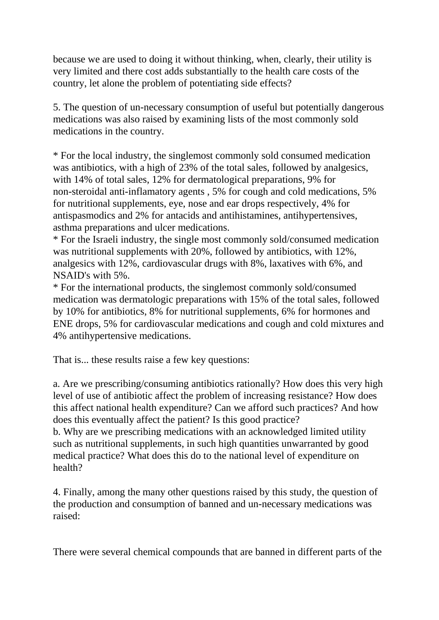because we are used to doing it without thinking, when, clearly, their utility is very limited and there cost adds substantially to the health care costs of the country, let alone the problem of potentiating side effects?

5. The question of un-necessary consumption of useful but potentially dangerous medications was also raised by examining lists of the most commonly sold medications in the country.

\* For the local industry, the singlemost commonly sold consumed medication was antibiotics, with a high of 23% of the total sales, followed by analgesics, with 14% of total sales, 12% for dermatological preparations, 9% for non-steroidal anti-inflamatory agents , 5% for cough and cold medications, 5% for nutritional supplements, eye, nose and ear drops respectively, 4% for antispasmodics and 2% for antacids and antihistamines, antihypertensives, asthma preparations and ulcer medications.

\* For the Israeli industry, the single most commonly sold/consumed medication was nutritional supplements with 20%, followed by antibiotics, with 12%, analgesics with 12%, cardiovascular drugs with 8%, laxatives with 6%, and NSAID's with 5%.

\* For the international products, the singlemost commonly sold/consumed medication was dermatologic preparations with 15% of the total sales, followed by 10% for antibiotics, 8% for nutritional supplements, 6% for hormones and ENE drops, 5% for cardiovascular medications and cough and cold mixtures and 4% antihypertensive medications.

That is... these results raise a few key questions:

a. Are we prescribing/consuming antibiotics rationally? How does this very high level of use of antibiotic affect the problem of increasing resistance? How does this affect national health expenditure? Can we afford such practices? And how does this eventually affect the patient? Is this good practice?

b. Why are we prescribing medications with an acknowledged limited utility such as nutritional supplements, in such high quantities unwarranted by good medical practice? What does this do to the national level of expenditure on health?

4. Finally, among the many other questions raised by this study, the question of the production and consumption of banned and un-necessary medications was raised:

There were several chemical compounds that are banned in different parts of the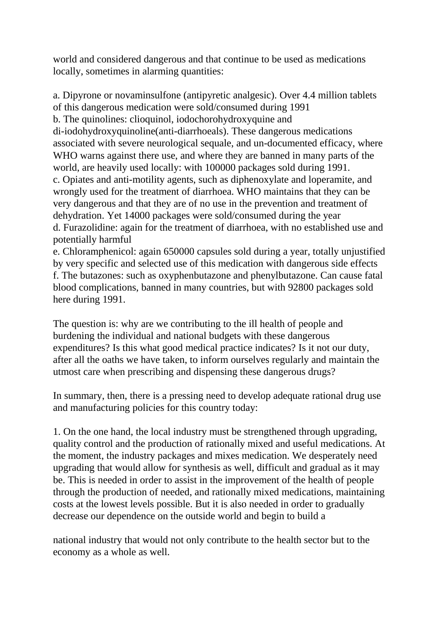world and considered dangerous and that continue to be used as medications locally, sometimes in alarming quantities:

a. Dipyrone or novaminsulfone (antipyretic analgesic). Over 4.4 million tablets of this dangerous medication were sold/consumed during 1991 b. The quinolines: clioquinol, iodochorohydroxyquine and di-iodohydroxyquinoline(anti-diarrhoeals). These dangerous medications associated with severe neurological sequale, and un-documented efficacy, where WHO warns against there use, and where they are banned in many parts of the world, are heavily used locally: with 100000 packages sold during 1991. c. Opiates and anti-motility agents, such as diphenoxylate and loperamite, and wrongly used for the treatment of diarrhoea. WHO maintains that they can be very dangerous and that they are of no use in the prevention and treatment of dehydration. Yet 14000 packages were sold/consumed during the year d. Furazolidine: again for the treatment of diarrhoea, with no established use and potentially harmful

e. Chloramphenicol: again 650000 capsules sold during a year, totally unjustified by very specific and selected use of this medication with dangerous side effects f. The butazones: such as oxyphenbutazone and phenylbutazone. Can cause fatal blood complications, banned in many countries, but with 92800 packages sold here during 1991.

The question is: why are we contributing to the ill health of people and burdening the individual and national budgets with these dangerous expenditures? Is this what good medical practice indicates? Is it not our duty, after all the oaths we have taken, to inform ourselves regularly and maintain the utmost care when prescribing and dispensing these dangerous drugs?

In summary, then, there is a pressing need to develop adequate rational drug use and manufacturing policies for this country today:

1. On the one hand, the local industry must be strengthened through upgrading, quality control and the production of rationally mixed and useful medications. At the moment, the industry packages and mixes medication. We desperately need upgrading that would allow for synthesis as well, difficult and gradual as it may be. This is needed in order to assist in the improvement of the health of people through the production of needed, and rationally mixed medications, maintaining costs at the lowest levels possible. But it is also needed in order to gradually decrease our dependence on the outside world and begin to build a

national industry that would not only contribute to the health sector but to the economy as a whole as well.